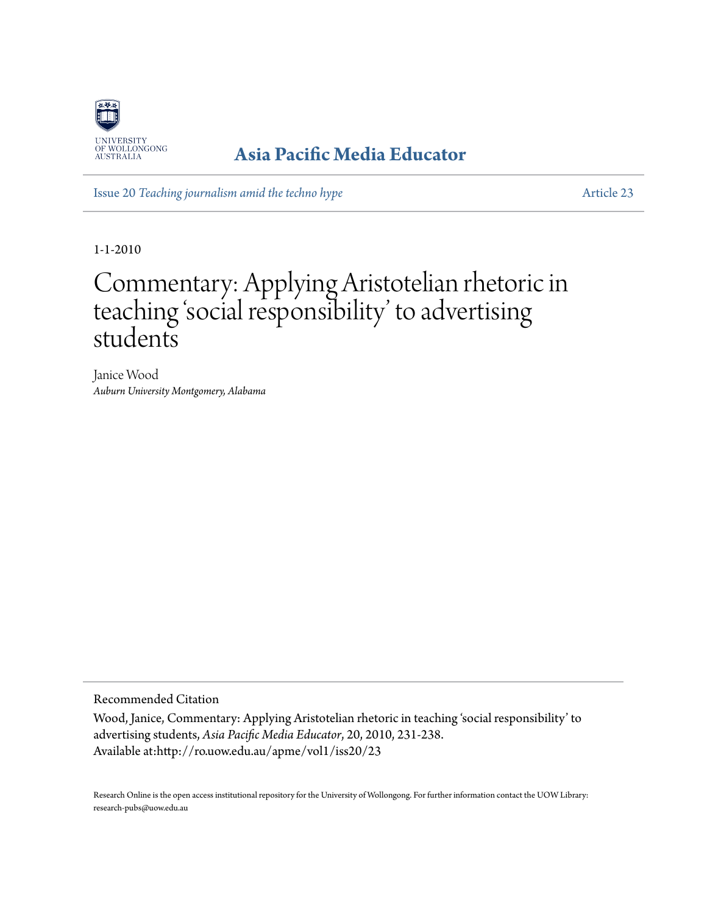

## **[Asia Pacific Media Educator](http://ro.uow.edu.au/apme)**

Issue 20 *[Teaching journalism amid the techno hype](http://ro.uow.edu.au/apme/vol1/iss20)* [Article 23](http://ro.uow.edu.au/apme/vol1/iss20/23)

1-1-2010

# Commentary: Applying Aristotelian rhetoric in teaching 'social responsibility' to advertising students

Janice Wood *Auburn University Montgomery, Alabama*

Recommended Citation

Wood, Janice, Commentary: Applying Aristotelian rhetoric in teaching 'social responsibility' to advertising students, *Asia Pacific Media Educator*, 20, 2010, 231-238. Available at:http://ro.uow.edu.au/apme/vol1/iss20/23

Research Online is the open access institutional repository for the University of Wollongong. For further information contact the UOW Library: research-pubs@uow.edu.au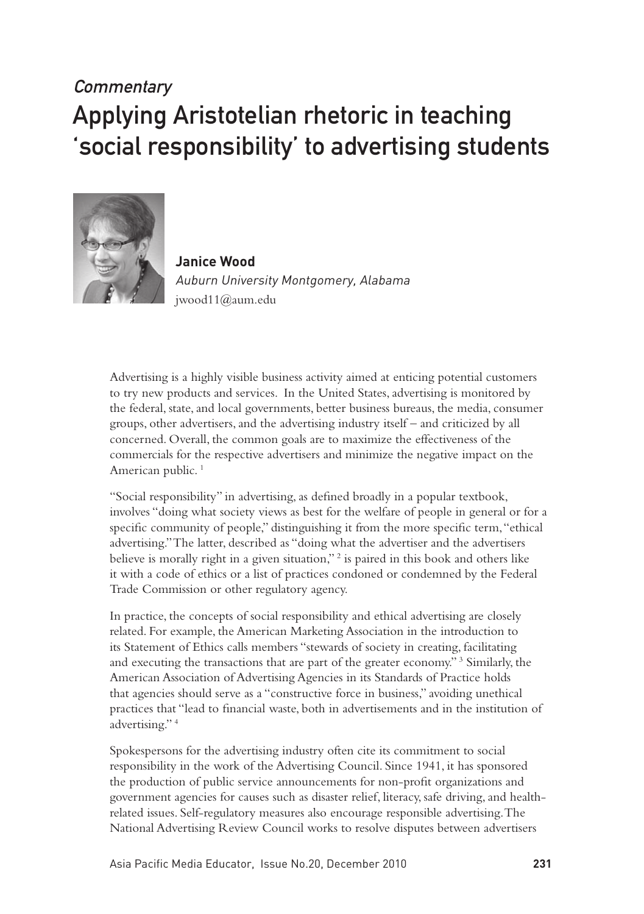## **Commentary** Applying Aristotelian rhetoric in teaching 'social responsibility' to advertising students



**Janice Wood**  Auburn University Montgomery, Alabama jwood11@aum.edu

Advertising is a highly visible business activity aimed at enticing potential customers to try new products and services. In the United States, advertising is monitored by the federal, state, and local governments, better business bureaus, the media, consumer groups, other advertisers, and the advertising industry itself – and criticized by all concerned. Overall, the common goals are to maximize the effectiveness of the commercials for the respective advertisers and minimize the negative impact on the American public.<sup>1</sup>

"Social responsibility" in advertising, as defined broadly in a popular textbook, involves "doing what society views as best for the welfare of people in general or for a specific community of people," distinguishing it from the more specific term, "ethical advertising." The latter, described as "doing what the advertiser and the advertisers believe is morally right in a given situation,"<sup>2</sup> is paired in this book and others like it with a code of ethics or a list of practices condoned or condemned by the Federal Trade Commission or other regulatory agency.

In practice, the concepts of social responsibility and ethical advertising are closely related. For example, the American Marketing Association in the introduction to its Statement of Ethics calls members "stewards of society in creating, facilitating and executing the transactions that are part of the greater economy." 3 Similarly, the American Association of Advertising Agencies in its Standards of Practice holds that agencies should serve as a "constructive force in business," avoiding unethical practices that "lead to financial waste, both in advertisements and in the institution of advertising." 4

Spokespersons for the advertising industry often cite its commitment to social responsibility in the work of the Advertising Council. Since 1941, it has sponsored the production of public service announcements for non-profit organizations and government agencies for causes such as disaster relief, literacy, safe driving, and healthrelated issues. Self-regulatory measures also encourage responsible advertising. The National Advertising Review Council works to resolve disputes between advertisers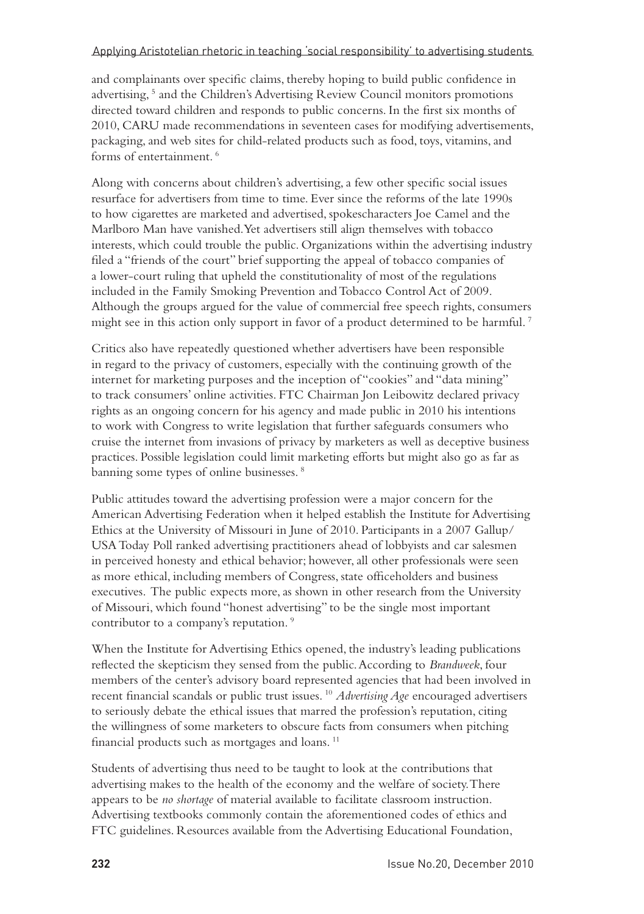and complainants over specific claims, thereby hoping to build public confidence in advertising,<sup>5</sup> and the Children's Advertising Review Council monitors promotions directed toward children and responds to public concerns. In the first six months of 2010, CARU made recommendations in seventeen cases for modifying advertisements, packaging, and web sites for child-related products such as food, toys, vitamins, and forms of entertainment. 6

Along with concerns about children's advertising, a few other specific social issues resurface for advertisers from time to time. Ever since the reforms of the late 1990s to how cigarettes are marketed and advertised, spokescharacters Joe Camel and the Marlboro Man have vanished. Yet advertisers still align themselves with tobacco interests, which could trouble the public. Organizations within the advertising industry filed a "friends of the court" brief supporting the appeal of tobacco companies of a lower-court ruling that upheld the constitutionality of most of the regulations included in the Family Smoking Prevention and Tobacco Control Act of 2009. Although the groups argued for the value of commercial free speech rights, consumers might see in this action only support in favor of a product determined to be harmful.<sup>7</sup>

Critics also have repeatedly questioned whether advertisers have been responsible in regard to the privacy of customers, especially with the continuing growth of the internet for marketing purposes and the inception of "cookies" and "data mining" to track consumers' online activities. FTC Chairman Jon Leibowitz declared privacy rights as an ongoing concern for his agency and made public in 2010 his intentions to work with Congress to write legislation that further safeguards consumers who cruise the internet from invasions of privacy by marketers as well as deceptive business practices. Possible legislation could limit marketing efforts but might also go as far as banning some types of online businesses. 8

Public attitudes toward the advertising profession were a major concern for the American Advertising Federation when it helped establish the Institute for Advertising Ethics at the University of Missouri in June of 2010. Participants in a 2007 Gallup/ USA Today Poll ranked advertising practitioners ahead of lobbyists and car salesmen in perceived honesty and ethical behavior; however, all other professionals were seen as more ethical, including members of Congress, state officeholders and business executives. The public expects more, as shown in other research from the University of Missouri, which found "honest advertising" to be the single most important contributor to a company's reputation.<sup>9</sup>

When the Institute for Advertising Ethics opened, the industry's leading publications reflected the skepticism they sensed from the public. According to *Brandweek*, four members of the center's advisory board represented agencies that had been involved in recent financial scandals or public trust issues. 10 *Advertising Age* encouraged advertisers to seriously debate the ethical issues that marred the profession's reputation, citing the willingness of some marketers to obscure facts from consumers when pitching financial products such as mortgages and loans. 11

Students of advertising thus need to be taught to look at the contributions that advertising makes to the health of the economy and the welfare of society. There appears to be *no shortage* of material available to facilitate classroom instruction. Advertising textbooks commonly contain the aforementioned codes of ethics and FTC guidelines. Resources available from the Advertising Educational Foundation,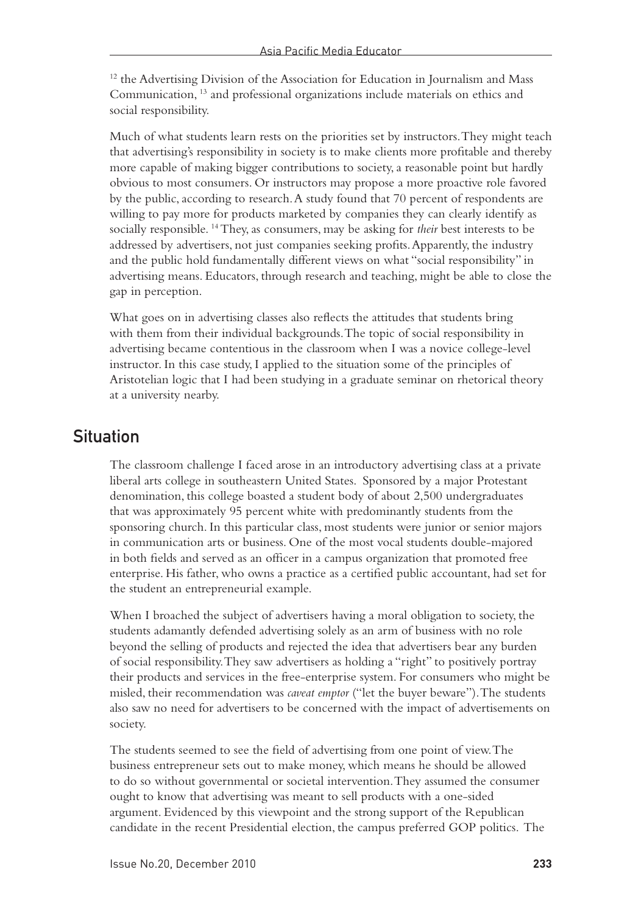<sup>12</sup> the Advertising Division of the Association for Education in Journalism and Mass Communication, 13 and professional organizations include materials on ethics and social responsibility.

Much of what students learn rests on the priorities set by instructors. They might teach that advertising's responsibility in society is to make clients more profitable and thereby more capable of making bigger contributions to society, a reasonable point but hardly obvious to most consumers. Or instructors may propose a more proactive role favored by the public, according to research. A study found that 70 percent of respondents are willing to pay more for products marketed by companies they can clearly identify as socially responsible. 14 They, as consumers, may be asking for *their* best interests to be addressed by advertisers, not just companies seeking profits. Apparently, the industry and the public hold fundamentally different views on what "social responsibility" in advertising means. Educators, through research and teaching, might be able to close the gap in perception.

What goes on in advertising classes also reflects the attitudes that students bring with them from their individual backgrounds. The topic of social responsibility in advertising became contentious in the classroom when I was a novice college-level instructor. In this case study, I applied to the situation some of the principles of Aristotelian logic that I had been studying in a graduate seminar on rhetorical theory at a university nearby.

## **Situation**

The classroom challenge I faced arose in an introductory advertising class at a private liberal arts college in southeastern United States. Sponsored by a major Protestant denomination, this college boasted a student body of about 2,500 undergraduates that was approximately 95 percent white with predominantly students from the sponsoring church. In this particular class, most students were junior or senior majors in communication arts or business. One of the most vocal students double-majored in both fields and served as an officer in a campus organization that promoted free enterprise. His father, who owns a practice as a certified public accountant, had set for the student an entrepreneurial example.

When I broached the subject of advertisers having a moral obligation to society, the students adamantly defended advertising solely as an arm of business with no role beyond the selling of products and rejected the idea that advertisers bear any burden of social responsibility. They saw advertisers as holding a "right" to positively portray their products and services in the free-enterprise system. For consumers who might be misled, their recommendation was *caveat emptor* ("let the buyer beware"). The students also saw no need for advertisers to be concerned with the impact of advertisements on society.

The students seemed to see the field of advertising from one point of view. The business entrepreneur sets out to make money, which means he should be allowed to do so without governmental or societal intervention. They assumed the consumer ought to know that advertising was meant to sell products with a one-sided argument. Evidenced by this viewpoint and the strong support of the Republican candidate in the recent Presidential election, the campus preferred GOP politics. The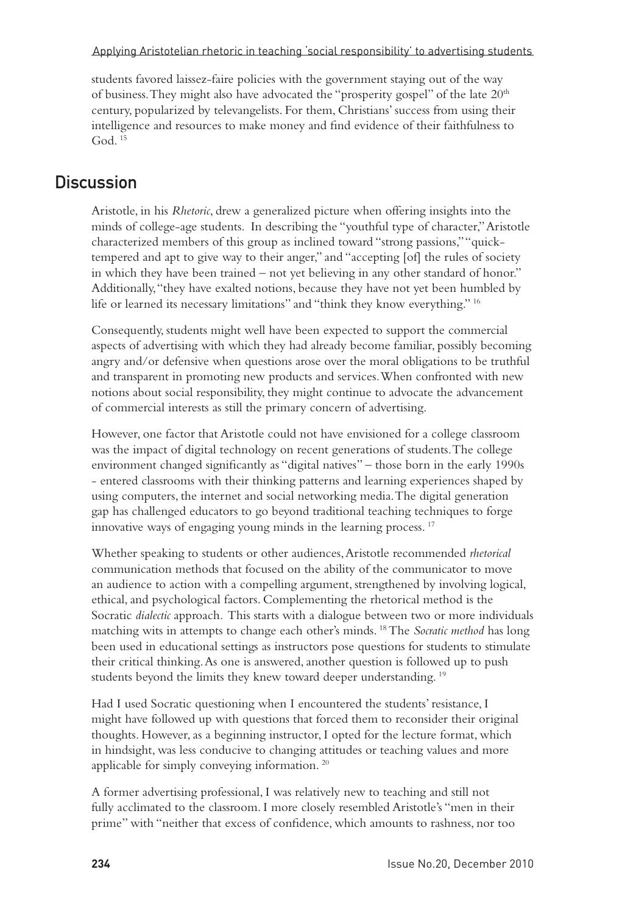Applying Aristotelian rhetoric in teaching 'social responsibility' to advertising students

students favored laissez-faire policies with the government staying out of the way of business. They might also have advocated the "prosperity gospel" of the late 20th century, popularized by televangelists. For them, Christians' success from using their intelligence and resources to make money and find evidence of their faithfulness to God $<sup>15</sup>$ </sup>

## **Discussion**

Aristotle, in his *Rhetoric*, drew a generalized picture when offering insights into the minds of college-age students. In describing the "youthful type of character," Aristotle characterized members of this group as inclined toward "strong passions," "quicktempered and apt to give way to their anger," and "accepting [of] the rules of society in which they have been trained – not yet believing in any other standard of honor." Additionally, "they have exalted notions, because they have not yet been humbled by life or learned its necessary limitations" and "think they know everything." 16

Consequently, students might well have been expected to support the commercial aspects of advertising with which they had already become familiar, possibly becoming angry and/or defensive when questions arose over the moral obligations to be truthful and transparent in promoting new products and services. When confronted with new notions about social responsibility, they might continue to advocate the advancement of commercial interests as still the primary concern of advertising.

However, one factor that Aristotle could not have envisioned for a college classroom was the impact of digital technology on recent generations of students. The college environment changed significantly as "digital natives" – those born in the early 1990s - entered classrooms with their thinking patterns and learning experiences shaped by using computers, the internet and social networking media. The digital generation gap has challenged educators to go beyond traditional teaching techniques to forge innovative ways of engaging young minds in the learning process. 17

Whether speaking to students or other audiences, Aristotle recommended *rhetorical* communication methods that focused on the ability of the communicator to move an audience to action with a compelling argument, strengthened by involving logical, ethical, and psychological factors. Complementing the rhetorical method is the Socratic *dialectic* approach. This starts with a dialogue between two or more individuals matching wits in attempts to change each other's minds. 18 The *Socratic method* has long been used in educational settings as instructors pose questions for students to stimulate their critical thinking. As one is answered, another question is followed up to push students beyond the limits they knew toward deeper understanding.<sup>19</sup>

Had I used Socratic questioning when I encountered the students' resistance, I might have followed up with questions that forced them to reconsider their original thoughts. However, as a beginning instructor, I opted for the lecture format, which in hindsight, was less conducive to changing attitudes or teaching values and more applicable for simply conveying information. 20

A former advertising professional, I was relatively new to teaching and still not fully acclimated to the classroom. I more closely resembled Aristotle's "men in their prime" with "neither that excess of confidence, which amounts to rashness, nor too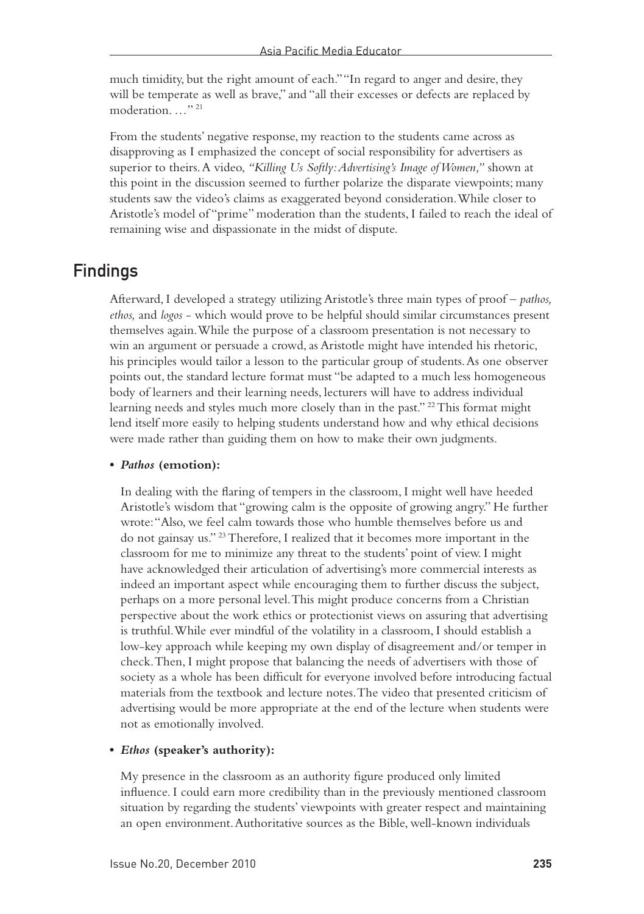much timidity, but the right amount of each." "In regard to anger and desire, they will be temperate as well as brave," and "all their excesses or defects are replaced by moderation. …" 21

From the students' negative response, my reaction to the students came across as disapproving as I emphasized the concept of social responsibility for advertisers as superior to theirs. A video, *"Killing Us Softly: Advertising's Image of Women,"* shown at this point in the discussion seemed to further polarize the disparate viewpoints; many students saw the video's claims as exaggerated beyond consideration. While closer to Aristotle's model of "prime" moderation than the students, I failed to reach the ideal of remaining wise and dispassionate in the midst of dispute.

## Findings

Afterward, I developed a strategy utilizing Aristotle's three main types of proof – *pathos, ethos,* and *logos* - which would prove to be helpful should similar circumstances present themselves again. While the purpose of a classroom presentation is not necessary to win an argument or persuade a crowd, as Aristotle might have intended his rhetoric, his principles would tailor a lesson to the particular group of students. As one observer points out, the standard lecture format must "be adapted to a much less homogeneous body of learners and their learning needs, lecturers will have to address individual learning needs and styles much more closely than in the past." 22 This format might lend itself more easily to helping students understand how and why ethical decisions were made rather than guiding them on how to make their own judgments.

#### **•**  *Pathos* **(emotion):**

In dealing with the flaring of tempers in the classroom, I might well have heeded Aristotle's wisdom that "growing calm is the opposite of growing angry." He further wrote: "Also, we feel calm towards those who humble themselves before us and do not gainsay us." 23 Therefore, I realized that it becomes more important in the classroom for me to minimize any threat to the students' point of view. I might have acknowledged their articulation of advertising's more commercial interests as indeed an important aspect while encouraging them to further discuss the subject, perhaps on a more personal level. This might produce concerns from a Christian perspective about the work ethics or protectionist views on assuring that advertising is truthful. While ever mindful of the volatility in a classroom, I should establish a low-key approach while keeping my own display of disagreement and/or temper in check. Then, I might propose that balancing the needs of advertisers with those of society as a whole has been difficult for everyone involved before introducing factual materials from the textbook and lecture notes. The video that presented criticism of advertising would be more appropriate at the end of the lecture when students were not as emotionally involved.

#### **•** *Ethos* **(speaker's authority):**

My presence in the classroom as an authority figure produced only limited influence. I could earn more credibility than in the previously mentioned classroom situation by regarding the students' viewpoints with greater respect and maintaining an open environment. Authoritative sources as the Bible, well-known individuals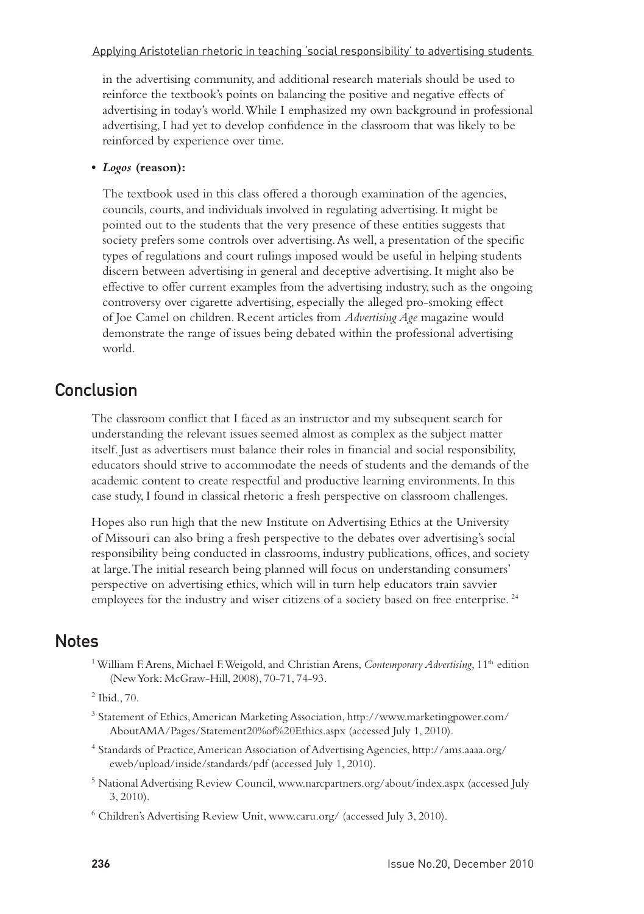#### Applying Aristotelian rhetoric in teaching 'social responsibility' to advertising students

in the advertising community, and additional research materials should be used to reinforce the textbook's points on balancing the positive and negative effects of advertising in today's world. While I emphasized my own background in professional advertising, I had yet to develop confidence in the classroom that was likely to be reinforced by experience over time.

#### **•**  *Logos* **(reason):**

The textbook used in this class offered a thorough examination of the agencies, councils, courts, and individuals involved in regulating advertising. It might be pointed out to the students that the very presence of these entities suggests that society prefers some controls over advertising. As well, a presentation of the specific types of regulations and court rulings imposed would be useful in helping students discern between advertising in general and deceptive advertising. It might also be effective to offer current examples from the advertising industry, such as the ongoing controversy over cigarette advertising, especially the alleged pro-smoking effect of Joe Camel on children. Recent articles from *Advertising Age* magazine would demonstrate the range of issues being debated within the professional advertising world.

### **Conclusion**

The classroom conflict that I faced as an instructor and my subsequent search for understanding the relevant issues seemed almost as complex as the subject matter itself. Just as advertisers must balance their roles in financial and social responsibility, educators should strive to accommodate the needs of students and the demands of the academic content to create respectful and productive learning environments. In this case study, I found in classical rhetoric a fresh perspective on classroom challenges.

Hopes also run high that the new Institute on Advertising Ethics at the University of Missouri can also bring a fresh perspective to the debates over advertising's social responsibility being conducted in classrooms, industry publications, offices, and society at large. The initial research being planned will focus on understanding consumers' perspective on advertising ethics, which will in turn help educators train savvier employees for the industry and wiser citizens of a society based on free enterprise.<sup>24</sup>

### **Notes**

- <sup>1</sup> William F. Arens, Michael F. Weigold, and Christian Arens, *Contemporary Advertising*, 11<sup>th</sup> edition (New York: McGraw-Hill, 2008), 70-71, 74-93.
- 2 Ibid., 70.
- 3 Statement of Ethics, American Marketing Association, http://www.marketingpower.com/ AboutAMA/Pages/Statement20%of%20Ethics.aspx (accessed July 1, 2010).
- 4 Standards of Practice, American Association of Advertising Agencies, http://ams.aaaa.org/ eweb/upload/inside/standards/pdf (accessed July 1, 2010).
- <sup>5</sup> National Advertising Review Council, www.narcpartners.org/about/index.aspx (accessed July 3, 2010).
- 6 Children's Advertising Review Unit, www.caru.org/ (accessed July 3, 2010).